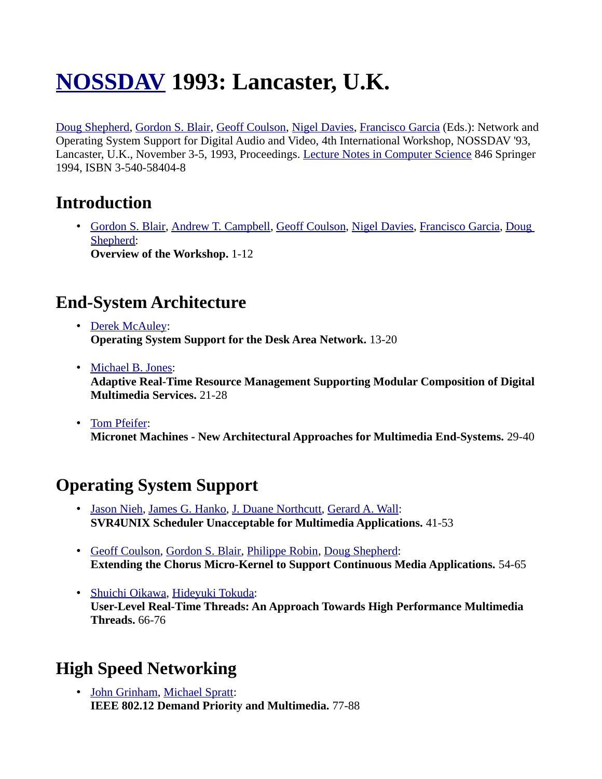# **[NOSSDAV](http://www.informatik.uni-trier.de/~ley/db/conf/nossdav/index.html) 1993: Lancaster, U.K.**

[Doug Shepherd,](http://www.informatik.uni-trier.de/~ley/db/indices/a-tree/s/Shepherd:Doug.html) [Gordon S. Blair,](http://www.informatik.uni-trier.de/~ley/db/indices/a-tree/b/Blair:Gordon_S=.html) [Geoff Coulson,](http://www.informatik.uni-trier.de/~ley/db/indices/a-tree/c/Coulson:Geoff.html) [Nigel Davies,](http://www.informatik.uni-trier.de/~ley/db/indices/a-tree/d/Davies:Nigel.html) [Francisco Garcia](http://www.informatik.uni-trier.de/~ley/db/indices/a-tree/g/Garcia:Francisco.html) (Eds.): Network and Operating System Support for Digital Audio and Video, 4th International Workshop, NOSSDAV '93, Lancaster, U.K., November 3-5, 1993, Proceedings. [Lecture Notes in Computer Science](http://www.informatik.uni-trier.de/~ley/db/journals/lncs.html) 846 Springer 1994, ISBN 3-540-58404-8

## **Introduction**

• [Gordon S. Blair,](http://www.informatik.uni-trier.de/~ley/db/indices/a-tree/b/Blair:Gordon_S=.html) [Andrew T. Campbell,](http://www.informatik.uni-trier.de/~ley/db/indices/a-tree/c/Campbell:Andrew_T=.html) [Geoff Coulson,](http://www.informatik.uni-trier.de/~ley/db/indices/a-tree/c/Coulson:Geoff.html) [Nigel Davies,](http://www.informatik.uni-trier.de/~ley/db/indices/a-tree/d/Davies:Nigel.html) [Francisco Garcia,](http://www.informatik.uni-trier.de/~ley/db/indices/a-tree/g/Garcia:Francisco.html) [Doug](http://www.informatik.uni-trier.de/~ley/db/indices/a-tree/s/Shepherd:Doug.html)  [Shepherd:](http://www.informatik.uni-trier.de/~ley/db/indices/a-tree/s/Shepherd:Doug.html) **Overview of the Workshop.** 1-12

## **End-System Architecture**

- • [Derek McAuley:](http://www.informatik.uni-trier.de/~ley/db/indices/a-tree/m/McAuley:Derek.html) **Operating System Support for the Desk Area Network.** 13-20
- • [Michael B. Jones:](http://www.informatik.uni-trier.de/~ley/db/indices/a-tree/j/Jones:Michael_B=.html) **Adaptive Real-Time Resource Management Supporting Modular Composition of Digital Multimedia Services.** 21-28
- • [Tom Pfeifer:](http://www.informatik.uni-trier.de/~ley/db/indices/a-tree/p/Pfeifer:Tom.html) **Micronet Machines - New Architectural Approaches for Multimedia End-Systems.** 29-40

# **Operating System Support**

- • [Jason Nieh,](http://www.informatik.uni-trier.de/~ley/db/indices/a-tree/n/Nieh:Jason.html) [James G. Hanko,](http://www.informatik.uni-trier.de/~ley/db/indices/a-tree/h/Hanko:James_G=.html) [J. Duane Northcutt,](http://www.informatik.uni-trier.de/~ley/db/indices/a-tree/n/Northcutt:J=_Duane.html) [Gerard A. Wall:](http://www.informatik.uni-trier.de/~ley/db/indices/a-tree/w/Wall:Gerard_A=.html) **SVR4UNIX Scheduler Unacceptable for Multimedia Applications.** 41-53
- • [Geoff Coulson,](http://www.informatik.uni-trier.de/~ley/db/indices/a-tree/c/Coulson:Geoff.html) [Gordon S. Blair,](http://www.informatik.uni-trier.de/~ley/db/indices/a-tree/b/Blair:Gordon_S=.html) [Philippe Robin,](http://www.informatik.uni-trier.de/~ley/db/indices/a-tree/r/Robin:Philippe.html) [Doug Shepherd:](http://www.informatik.uni-trier.de/~ley/db/indices/a-tree/s/Shepherd:Doug.html) **Extending the Chorus Micro-Kernel to Support Continuous Media Applications.** 54-65
- • [Shuichi Oikawa,](http://www.informatik.uni-trier.de/~ley/db/indices/a-tree/o/Oikawa:Shuichi.html) [Hideyuki Tokuda:](http://www.informatik.uni-trier.de/~ley/db/indices/a-tree/t/Tokuda:Hideyuki.html) **User-Level Real-Time Threads: An Approach Towards High Performance Multimedia Threads.** 66-76

# **High Speed Networking**

• [John Grinham,](http://www.informatik.uni-trier.de/~ley/db/indices/a-tree/g/Grinham:John.html) [Michael Spratt:](http://www.informatik.uni-trier.de/~ley/db/indices/a-tree/s/Spratt:Michael.html) **IEEE 802.12 Demand Priority and Multimedia.** 77-88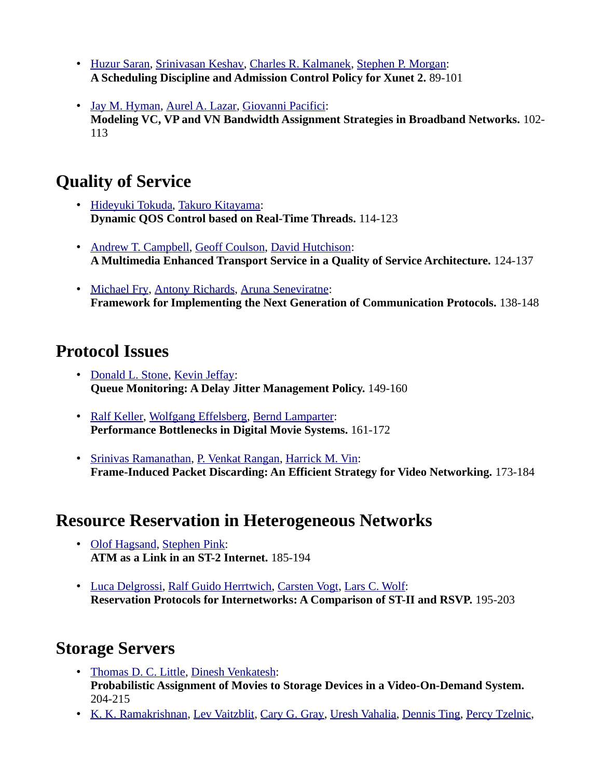- • [Huzur Saran,](http://www.informatik.uni-trier.de/~ley/db/indices/a-tree/s/Saran:Huzur.html) [Srinivasan Keshav,](http://www.informatik.uni-trier.de/~ley/db/indices/a-tree/k/Keshav:Srinivasan.html) [Charles R. Kalmanek,](http://www.informatik.uni-trier.de/~ley/db/indices/a-tree/k/Kalmanek:Charles_R=.html) [Stephen P. Morgan:](http://www.informatik.uni-trier.de/~ley/db/indices/a-tree/m/Morgan:Stephen_P=.html) **A Scheduling Discipline and Admission Control Policy for Xunet 2.** 89-101
- • [Jay M. Hyman,](http://www.informatik.uni-trier.de/~ley/db/indices/a-tree/h/Hyman:Jay_M=.html) [Aurel A. Lazar,](http://www.informatik.uni-trier.de/~ley/db/indices/a-tree/l/Lazar:Aurel_A=.html) [Giovanni Pacifici:](http://www.informatik.uni-trier.de/~ley/db/indices/a-tree/p/Pacifici:Giovanni.html) **Modeling VC, VP and VN Bandwidth Assignment Strategies in Broadband Networks.** 102- 113

## **Quality of Service**

- • [Hideyuki Tokuda,](http://www.informatik.uni-trier.de/~ley/db/indices/a-tree/t/Tokuda:Hideyuki.html) [Takuro Kitayama:](http://www.informatik.uni-trier.de/~ley/db/indices/a-tree/k/Kitayama:Takuro.html) **Dynamic QOS Control based on Real-Time Threads.** 114-123
- • [Andrew T. Campbell,](http://www.informatik.uni-trier.de/~ley/db/indices/a-tree/c/Campbell:Andrew_T=.html) [Geoff Coulson,](http://www.informatik.uni-trier.de/~ley/db/indices/a-tree/c/Coulson:Geoff.html) [David Hutchison:](http://www.informatik.uni-trier.de/~ley/db/indices/a-tree/h/Hutchison:David.html) **A Multimedia Enhanced Transport Service in a Quality of Service Architecture.** 124-137
- • [Michael Fry,](http://www.informatik.uni-trier.de/~ley/db/indices/a-tree/f/Fry:Michael.html) [Antony Richards,](http://www.informatik.uni-trier.de/~ley/db/indices/a-tree/r/Richards:Antony.html) [Aruna Seneviratne:](http://www.informatik.uni-trier.de/~ley/db/indices/a-tree/s/Seneviratne:Aruna.html) **Framework for Implementing the Next Generation of Communication Protocols.** 138-148

#### **Protocol Issues**

- • [Donald L. Stone,](http://www.informatik.uni-trier.de/~ley/db/indices/a-tree/s/Stone:Donald_L=.html) [Kevin Jeffay:](http://www.informatik.uni-trier.de/~ley/db/indices/a-tree/j/Jeffay:Kevin.html) **Queue Monitoring: A Delay Jitter Management Policy.** 149-160
- • [Ralf Keller,](http://www.informatik.uni-trier.de/~ley/db/indices/a-tree/k/Keller:Ralf.html) [Wolfgang Effelsberg,](http://www.informatik.uni-trier.de/~ley/db/indices/a-tree/e/Effelsberg:Wolfgang.html) [Bernd Lamparter:](http://www.informatik.uni-trier.de/~ley/db/indices/a-tree/l/Lamparter:Bernd.html) **Performance Bottlenecks in Digital Movie Systems.** 161-172
- • [Srinivas Ramanathan,](http://www.informatik.uni-trier.de/~ley/db/indices/a-tree/r/Ramanathan:Srinivas.html) [P. Venkat Rangan,](http://www.informatik.uni-trier.de/~ley/db/indices/a-tree/r/Rangan:P=_Venkat.html) [Harrick M. Vin:](http://www.informatik.uni-trier.de/~ley/db/indices/a-tree/v/Vin:Harrick_M=.html) **Frame-Induced Packet Discarding: An Efficient Strategy for Video Networking.** 173-184

#### **Resource Reservation in Heterogeneous Networks**

- • [Olof Hagsand,](http://www.informatik.uni-trier.de/~ley/db/indices/a-tree/h/Hagsand:Olof.html) [Stephen Pink:](http://www.informatik.uni-trier.de/~ley/db/indices/a-tree/p/Pink:Stephen.html) **ATM as a Link in an ST-2 Internet.** 185-194
- • [Luca Delgrossi,](http://www.informatik.uni-trier.de/~ley/db/indices/a-tree/d/Delgrossi:Luca.html) [Ralf Guido Herrtwich,](http://www.informatik.uni-trier.de/~ley/db/indices/a-tree/h/Herrtwich:Ralf_Guido.html) [Carsten Vogt,](http://www.informatik.uni-trier.de/~ley/db/indices/a-tree/v/Vogt:Carsten.html) [Lars C. Wolf:](http://www.informatik.uni-trier.de/~ley/db/indices/a-tree/w/Wolf:Lars_C=.html) **Reservation Protocols for Internetworks: A Comparison of ST-II and RSVP.** 195-203

## **Storage Servers**

- • [Thomas D. C. Little,](http://www.informatik.uni-trier.de/~ley/db/indices/a-tree/l/Little:Thomas_D=_C=.html) [Dinesh Venkatesh:](http://www.informatik.uni-trier.de/~ley/db/indices/a-tree/v/Venkatesh:Dinesh.html) **Probabilistic Assignment of Movies to Storage Devices in a Video-On-Demand System.**  204-215
- • [K. K. Ramakrishnan,](http://www.informatik.uni-trier.de/~ley/db/indices/a-tree/r/Ramakrishnan:K=_K=.html) [Lev Vaitzblit,](http://www.informatik.uni-trier.de/~ley/db/indices/a-tree/v/Vaitzblit:Lev.html) [Cary G. Gray,](http://www.informatik.uni-trier.de/~ley/db/indices/a-tree/g/Gray:Cary_G=.html) [Uresh Vahalia,](http://www.informatik.uni-trier.de/~ley/db/indices/a-tree/v/Vahalia:Uresh.html) [Dennis Ting,](http://www.informatik.uni-trier.de/~ley/db/indices/a-tree/t/Ting:Dennis.html) [Percy Tzelnic,](http://www.informatik.uni-trier.de/~ley/db/indices/a-tree/t/Tzelnic:Percy.html)